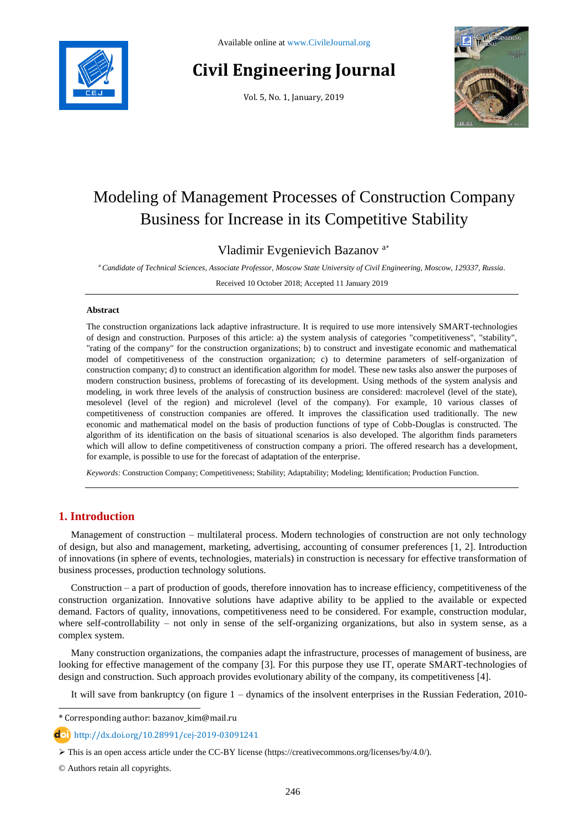

# **Civil Engineering Journal**

Vol. 5, No. 1, January, 2019



# Modeling of Management Processes of Construction Company Business for Increase in its Competitive Stability

# Vladimir Evgenievich Bazanov <sup>a</sup>\*

*<sup>a</sup>Candidate of Technical Sciences, Associate Professor, Moscow State University of Civil Engineering, Moscow, 129337, Russia.*

Received 10 October 2018; Accepted 11 January 2019

#### **Abstract**

The construction organizations lack adaptive infrastructure. It is required to use more intensively SMART-technologies of design and construction. Purposes of this article: a) the system analysis of categories "competitiveness", "stability", "rating of the company" for the construction organizations; b) to construct and investigate economic and mathematical model of competitiveness of the construction organization; c) to determine parameters of self-organization of construction company; d) to construct an identification algorithm for model. These new tasks also answer the purposes of modern construction business, problems of forecasting of its development. Using methods of the system analysis and modeling, in work three levels of the analysis of construction business are considered: macrolevel (level of the state), mesolevel (level of the region) and microlevel (level of the company). For example, 10 various classes of competitiveness of construction companies are offered. It improves the classification used traditionally. The new economic and mathematical model on the basis of production functions of type of Cobb-Douglas is constructed. The algorithm of its identification on the basis of situational scenarios is also developed. The algorithm finds parameters which will allow to define competitiveness of construction company a priori. The offered research has a development, for example, is possible to use for the forecast of adaptation of the enterprise.

*Keywords:* Construction Company; Competitiveness; Stability; Adaptability; Modeling; Identification; Production Function.

## **1. Introduction**

Management of construction – multilateral process. Modern technologies of construction are not only technology of design, but also and management, marketing, advertising, accounting of consumer preferences [1, 2]. Introduction of innovations (in sphere of events, technologies, materials) in construction is necessary for effective transformation of business processes, production technology solutions.

Construction – a part of production of goods, therefore innovation has to increase efficiency, competitiveness of the construction organization. Innovative solutions have adaptive ability to be applied to the available or expected demand. Factors of quality, innovations, competitiveness need to be considered. For example, construction modular, where self-controllability – not only in sense of the self-organizing organizations, but also in system sense, as a complex system.

Many construction organizations, the companies adapt the infrastructure, processes of management of business, are looking for effective management of the company [3]. For this purpose they use IT, operate SMART-technologies of design and construction. Such approach provides evolutionary ability of the company, its competitiveness [4].

It will save from bankruptcy (on figure 1 – dynamics of the insolvent enterprises in the Russian Federation, 2010-

© Authors retain all copyrights.

l

<sup>\*</sup> Corresponding author: bazanov\_kim@mail.ru

**d**ol http://dx.doi.org/10.28991/cej-2019-03091241

This is an open access article under the CC-BY license [\(https://creativecommons.org/licenses/by/4.0/\)](https://creativecommons.org/licenses/by/4.0/).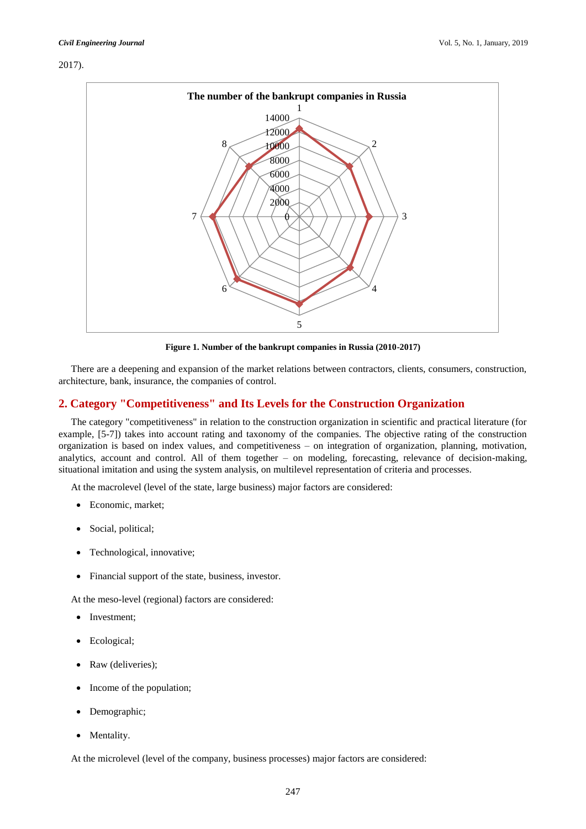#### 2017).



**Figure 1. Number of the bankrupt companies in Russia (2010-2017)**

There are a deepening and expansion of the market relations between contractors, clients, consumers, construction, architecture, bank, insurance, the companies of control.

# **2. Category "Competitiveness" and Its Levels for the Construction Organization**

The category "competitiveness" in relation to the construction organization in scientific and practical literature (for example, [5-7]) takes into account rating and taxonomy of the companies. The objective rating of the construction organization is based on index values, and competitiveness – on integration of organization, planning, motivation, analytics, account and control. All of them together – on modeling, forecasting, relevance of decision-making, situational imitation and using the system analysis, on multilevel representation of criteria and processes.

At the macrolevel (level of the state, large business) major factors are considered:

- Economic, market;
- Social, political;
- Technological, innovative;
- Financial support of the state, business, investor.

At the meso-level (regional) factors are considered:

- Investment;
- Ecological;
- Raw (deliveries);
- Income of the population;
- Demographic;
- Mentality.

At the microlevel (level of the company, business processes) major factors are considered: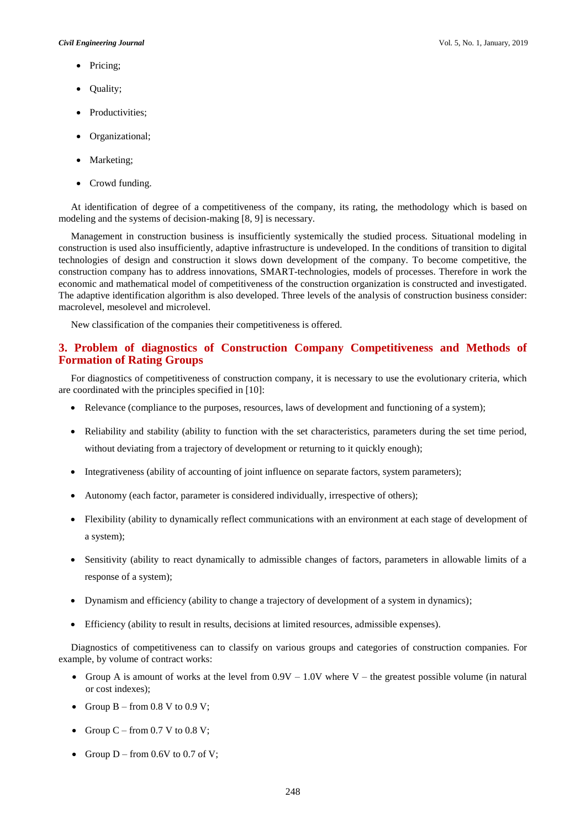- Pricing;
- Quality;
- Productivities;
- Organizational;
- Marketing;
- Crowd funding.

At identification of degree of a competitiveness of the company, its rating, the methodology which is based on modeling and the systems of decision-making [8, 9] is necessary.

Management in construction business is insufficiently systemically the studied process. Situational modeling in construction is used also insufficiently, adaptive infrastructure is undeveloped. In the conditions of transition to digital technologies of design and construction it slows down development of the company. To become competitive, the construction company has to address innovations, SMART-technologies, models of processes. Therefore in work the economic and mathematical model of competitiveness of the construction organization is constructed and investigated. The adaptive identification algorithm is also developed. Three levels of the analysis of construction business consider: macrolevel, mesolevel and microlevel.

New classification of the companies their competitiveness is offered.

### **3. Problem of diagnostics of Construction Company Competitiveness and Methods of Formation of Rating Groups**

For diagnostics of competitiveness of construction company, it is necessary to use the evolutionary criteria, which are coordinated with the principles specified in [10]:

- Relevance (compliance to the purposes, resources, laws of development and functioning of a system);
- Reliability and stability (ability to function with the set characteristics, parameters during the set time period, without deviating from a trajectory of development or returning to it quickly enough);
- Integrativeness (ability of accounting of joint influence on separate factors, system parameters);
- Autonomy (each factor, parameter is considered individually, irrespective of others);
- Flexibility (ability to dynamically reflect communications with an environment at each stage of development of a system);
- Sensitivity (ability to react dynamically to admissible changes of factors, parameters in allowable limits of a response of a system);
- Dynamism and efficiency (ability to change a trajectory of development of a system in dynamics);
- Efficiency (ability to result in results, decisions at limited resources, admissible expenses).

Diagnostics of competitiveness can to classify on various groups and categories of construction companies. For example, by volume of contract works:

- Group A is amount of works at the level from  $0.9V 1.0V$  where V the greatest possible volume (in natural or cost indexes);
- Group  $B from 0.8 V to 0.9 V$ ;
- Group  $C$  from 0.7 V to 0.8 V;
- Group  $D$  from 0.6V to 0.7 of V;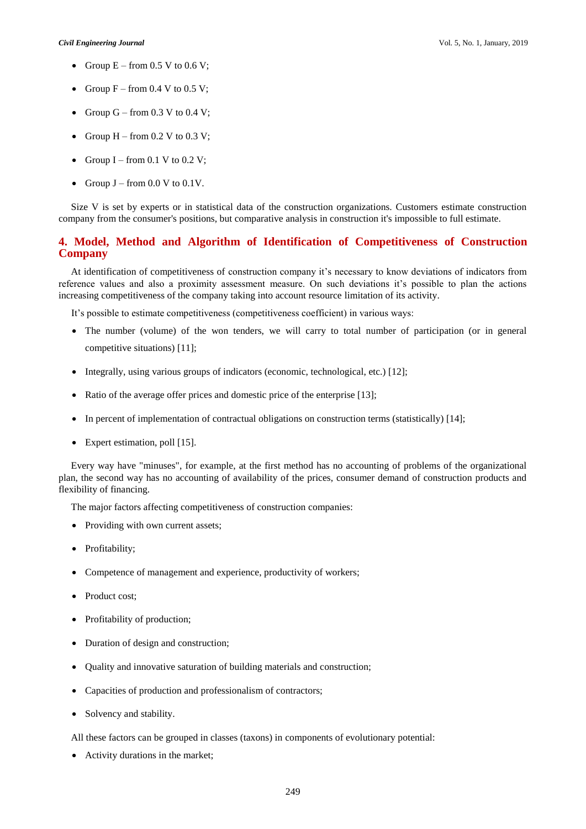- Group  $E -$  from 0.5 V to 0.6 V;
- Group  $F -$  from 0.4 V to 0.5 V;
- Group G from  $0.3$  V to  $0.4$  V;
- Group  $H -$  from 0.2 V to 0.3 V;
- Group I from 0.1 V to 0.2 V;
- Group  $J$  from 0.0 V to 0.1V.

Size V is set by experts or in statistical data of the construction organizations. Customers estimate construction company from the consumer's positions, but comparative analysis in construction it's impossible to full estimate.

# **4. Model, Method and Algorithm of Identification of Competitiveness of Construction Company**

At identification of competitiveness of construction company it's necessary to know deviations of indicators from reference values and also a proximity assessment measure. On such deviations it's possible to plan the actions increasing competitiveness of the company taking into account resource limitation of its activity.

It's possible to estimate competitiveness (competitiveness coefficient) in various ways:

- The number (volume) of the won tenders, we will carry to total number of participation (or in general competitive situations) [11];
- Integrally, using various groups of indicators (economic, technological, etc.) [12];
- Ratio of the average offer prices and domestic price of the enterprise [13];
- In percent of implementation of contractual obligations on construction terms (statistically) [14];
- Expert estimation, poll [15].

Every way have "minuses", for example, at the first method has no accounting of problems of the organizational plan, the second way has no accounting of availability of the prices, consumer demand of construction products and flexibility of financing.

The major factors affecting competitiveness of construction companies:

- Providing with own current assets;
- Profitability;
- Competence of management and experience, productivity of workers;
- Product cost;
- Profitability of production;
- Duration of design and construction;
- Quality and innovative saturation of building materials and construction;
- Capacities of production and professionalism of contractors;
- Solvency and stability.

All these factors can be grouped in classes (taxons) in components of evolutionary potential:

Activity durations in the market;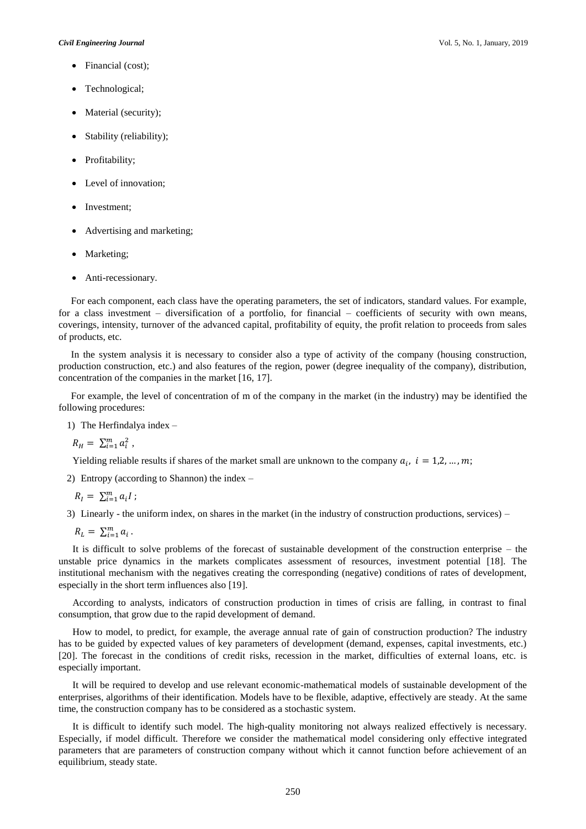#### *Civil Engineering Journal* Vol. 5, No. 1, January, 2019

- Financial (cost);
- Technological;
- Material (security);
- Stability (reliability);
- Profitability;
- Level of innovation;
- Investment;
- Advertising and marketing;
- Marketing;
- Anti-recessionary.

For each component, each class have the operating parameters, the set of indicators, standard values. For example, for a class investment – diversification of a portfolio, for financial – coefficients of security with own means, coverings, intensity, turnover of the advanced capital, profitability of equity, the profit relation to proceeds from sales of products, etc.

In the system analysis it is necessary to consider also a type of activity of the company (housing construction, production construction, etc.) and also features of the region, power (degree inequality of the company), distribution, concentration of the companies in the market [16, 17].

For example, the level of concentration of m of the company in the market (in the industry) may be identified the following procedures:

1) The Herfindalya index –

 $R_{H} = \sum_{i=1}^{m} a_{i}^{2}$ ,

Yielding reliable results if shares of the market small are unknown to the company  $a_i$ ,  $i = 1,2,...,m$ ;

2) Entropy (according to Shannon) the index –

 $R_{I} = \sum_{i=1}^{m} a_{i} I;$ 

3) Linearly - the uniform index, on shares in the market (in the industry of construction productions, services) –

 $R_L = \sum_{i=1}^m a_i$ .

It is difficult to solve problems of the forecast of sustainable development of the construction enterprise – the unstable price dynamics in the markets complicates assessment of resources, investment potential [18]. The institutional mechanism with the negatives creating the corresponding (negative) conditions of rates of development, especially in the short term influences also [19].

According to analysts, indicators of construction production in times of crisis are falling, in contrast to final consumption, that grow due to the rapid development of demand.

How to model, to predict, for example, the average annual rate of gain of construction production? The industry has to be guided by expected values of key parameters of development (demand, expenses, capital investments, etc.) [20]. The forecast in the conditions of credit risks, recession in the market, difficulties of external loans, etc. is especially important.

It will be required to develop and use relevant economic-mathematical models of sustainable development of the enterprises, algorithms of their identification. Models have to be flexible, adaptive, effectively are steady. At the same time, the construction company has to be considered as a stochastic system.

It is difficult to identify such model. The high-quality monitoring not always realized effectively is necessary. Especially, if model difficult. Therefore we consider the mathematical model considering only effective integrated parameters that are parameters of construction company without which it cannot function before achievement of an equilibrium, steady state.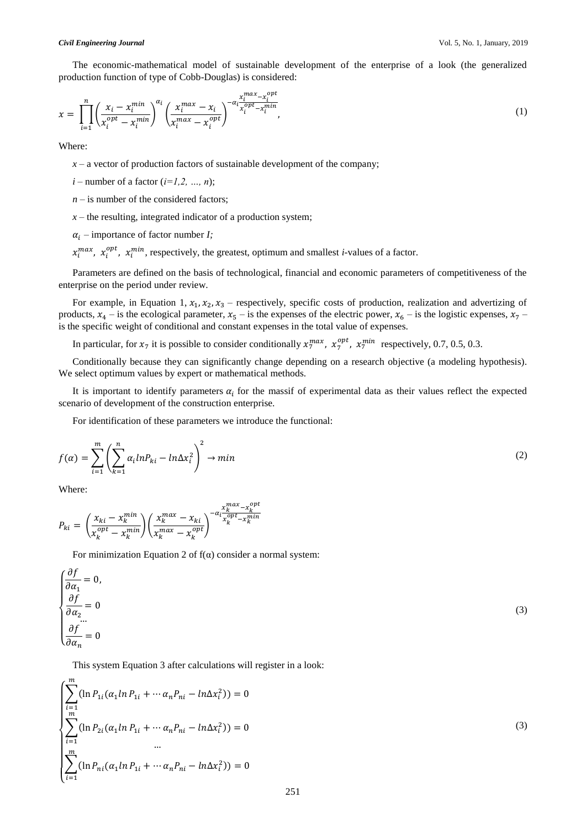The economic-mathematical model of sustainable development of the enterprise of a look (the generalized production function of type of Cobb-Douglas) is considered:

$$
x = \prod_{i=1}^{n} \left( \frac{x_i - x_i^{min}}{x_i^{opt} - x_i^{min}} \right)^{\alpha_i} \left( \frac{x_i^{max} - x_i}{x_i^{max} - x_i^{opt}} \right)^{-\alpha_i \frac{x_i^{max} - x_i^{opt}}{x_i^{opt} - x_i^{min}}},
$$
\n
$$
\tag{1}
$$

Where:

 $x - a$  vector of production factors of sustainable development of the company;

- $i$  number of a factor  $(i=1,2, ..., n)$ ;
- $n -$  is number of the considered factors;
- $x$  the resulting, integrated indicator of a production system;
- $\alpha_i$  importance of factor number *I*;

 $x_i^{max}$ ,  $x_i^{opt}$ ,  $x_i^{min}$ , respectively, the greatest, optimum and smallest *i*-values of a factor.

Parameters are defined on the basis of technological, financial and economic parameters of competitiveness of the enterprise on the period under review.

For example, in Equation 1,  $x_1, x_2, x_3$  – respectively, specific costs of production, realization and advertizing of products,  $x_4$  – is the ecological parameter,  $x_5$  – is the expenses of the electric power,  $x_6$  – is the logistic expenses,  $x_7$  – is the specific weight of conditional and constant expenses in the total value of expenses.

In particular, for  $x_7$  it is possible to consider conditionally  $x_7^{max}$ ,  $x_7^{opt}$ ,  $x_7^{min}$  respectively, 0.7, 0.5, 0.3.

Conditionally because they can significantly change depending on a research objective (a modeling hypothesis). We select optimum values by expert or mathematical methods.

It is important to identify parameters  $\alpha_i$  for the massif of experimental data as their values reflect the expected scenario of development of the construction enterprise.

For identification of these parameters we introduce the functional:

$$
f(\alpha) = \sum_{i=1}^{m} \left( \sum_{k=1}^{n} \alpha_i ln P_{ki} - ln \Delta x_i^2 \right)^2 \to min
$$
 (2)

Where:

 $\Delta$ 

$$
P_{ki} = \left(\frac{x_{ki} - x_k^{min}}{x_k^{opt} - x_k^{min}}\right) \left(\frac{x_k^{max} - x_{ki}}{x_k^{max} - x_k^{opt}}\right)^{-\alpha_i \frac{x_k^{max} - x_k^{opt}}{x_k^{opt} - x_k^{min}}}
$$

For minimization Equation 2 of  $f(\alpha)$  consider a normal system:

$$
\begin{cases}\n\frac{\partial f}{\partial \alpha_1} = 0, \\
\frac{\partial f}{\partial \alpha_2} = 0 \\
\vdots \\
\frac{\partial f}{\partial \alpha_n} = 0\n\end{cases} (3)
$$

This system Equation 3 after calculations will register in a look:

$$
\begin{cases}\n\sum_{i=1}^{m} (\ln P_{1i}(\alpha_1 \ln P_{1i} + \cdots \alpha_n P_{ni} - \ln \Delta x_i^2)) = 0 \\
\sum_{i=1}^{m} (\ln P_{2i}(\alpha_1 \ln P_{1i} + \cdots \alpha_n P_{ni} - \ln \Delta x_i^2)) = 0 \\
\vdots \\
\sum_{i=1}^{m} (\ln P_{ni}(\alpha_1 \ln P_{1i} + \cdots \alpha_n P_{ni} - \ln \Delta x_i^2)) = 0\n\end{cases}
$$
\n(3)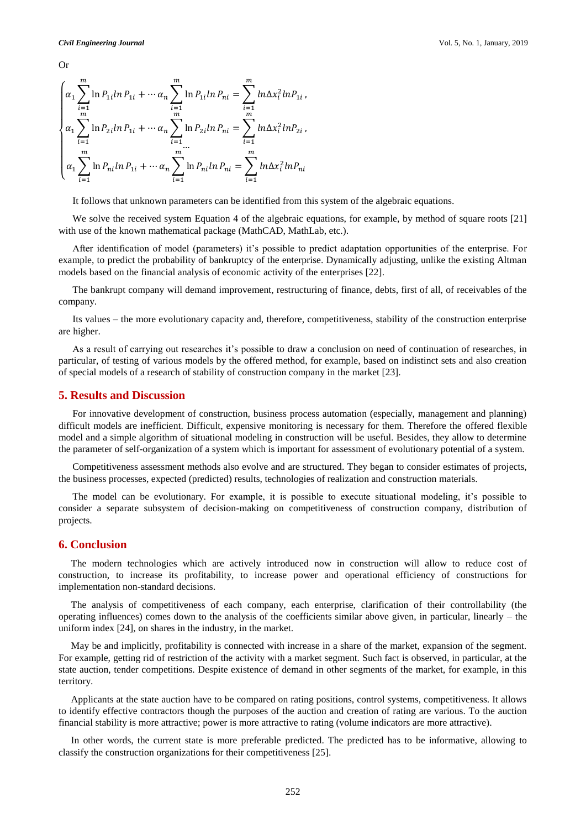Or

$$
\begin{cases}\n\alpha_1 \sum_{i=1}^m \ln P_{1i} \ln P_{1i} + \cdots + \alpha_n \sum_{i=1}^m \ln P_{1i} \ln P_{ni} = \sum_{i=1}^m \ln \Delta x_i^2 \ln P_{1i}, \\
\alpha_1 \sum_{i=1}^m \ln P_{2i} \ln P_{1i} + \cdots + \alpha_n \sum_{i=1}^m \ln P_{2i} \ln P_{ni} = \sum_{i=1}^m \ln \Delta x_i^2 \ln P_{2i}, \\
\vdots \\
\alpha_1 \sum_{i=1}^m \ln P_{ni} \ln P_{1i} + \cdots + \alpha_n \sum_{i=1}^m \ln P_{ni} \ln P_{ni} = \sum_{i=1}^m \ln \Delta x_i^2 \ln P_{ni}\n\end{cases}
$$

It follows that unknown parameters can be identified from this system of the algebraic equations.

We solve the received system Equation 4 of the algebraic equations, for example, by method of square roots [21] with use of the known mathematical package (MathCAD, MathLab, etc.).

After identification of model (parameters) it's possible to predict adaptation opportunities of the enterprise. For example, to predict the probability of bankruptcy of the enterprise. Dynamically adjusting, unlike the existing Altman models based on the financial analysis of economic activity of the enterprises [22].

The bankrupt company will demand improvement, restructuring of finance, debts, first of all, of receivables of the company.

Its values – the more evolutionary capacity and, therefore, competitiveness, stability of the construction enterprise are higher.

As a result of carrying out researches it's possible to draw a conclusion on need of continuation of researches, in particular, of testing of various models by the offered method, for example, based on indistinct sets and also creation of special models of a research of stability of construction company in the market [23].

#### **5. Results and Discussion**

For innovative development of construction, business process automation (especially, management and planning) difficult models are inefficient. Difficult, expensive monitoring is necessary for them. Therefore the offered flexible model and a simple algorithm of situational modeling in construction will be useful. Besides, they allow to determine the parameter of self-organization of a system which is important for assessment of evolutionary potential of a system.

Competitiveness assessment methods also evolve and are structured. They began to consider estimates of projects, the business processes, expected (predicted) results, technologies of realization and construction materials.

The model can be evolutionary. For example, it is possible to execute situational modeling, it's possible to consider a separate subsystem of decision-making on competitiveness of construction company, distribution of projects.

## **6. Conclusion**

The modern technologies which are actively introduced now in construction will allow to reduce cost of construction, to increase its profitability, to increase power and operational efficiency of constructions for implementation non-standard decisions.

The analysis of competitiveness of each company, each enterprise, clarification of their controllability (the operating influences) comes down to the analysis of the coefficients similar above given, in particular, linearly – the uniform index [24], on shares in the industry, in the market.

May be and implicitly, profitability is connected with increase in a share of the market, expansion of the segment. For example, getting rid of restriction of the activity with a market segment. Such fact is observed, in particular, at the state auction, tender competitions. Despite existence of demand in other segments of the market, for example, in this territory.

Applicants at the state auction have to be compared on rating positions, control systems, competitiveness. It allows to identify effective contractors though the purposes of the auction and creation of rating are various. To the auction financial stability is more attractive; power is more attractive to rating (volume indicators are more attractive).

In other words, the current state is more preferable predicted. The predicted has to be informative, allowing to classify the construction organizations for their competitiveness [25].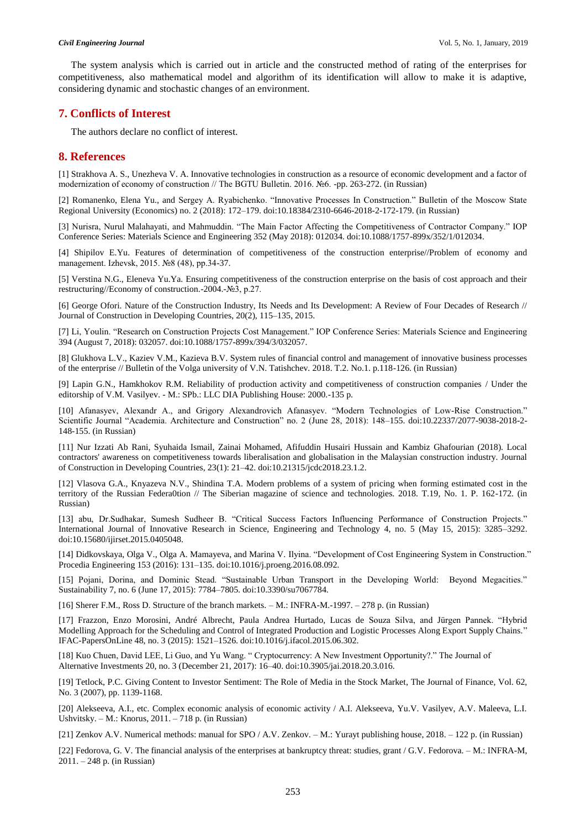The system analysis which is carried out in article and the constructed method of rating of the enterprises for competitiveness, also mathematical model and algorithm of its identification will allow to make it is adaptive, considering dynamic and stochastic changes of an environment.

#### **7. Conflicts of Interest**

The authors declare no conflict of interest.

#### **8. References**

[1] Strakhova A. S., Unezheva V. A. Innovative technologies in construction as a resource of economic development and a factor of modernization of economy of construction // The BGTU Bulletin. 2016. №6. -pp. 263-272. (in Russian)

[2] Romanenko, Elena Yu., and Sergey A. Ryabichenko. "Innovative Processes In Construction." Bulletin of the Moscow State Regional University (Economics) no. 2 (2018): 172–179. doi:10.18384/2310-6646-2018-2-172-179. (in Russian)

[3] Nurisra, Nurul Malahayati, and Mahmuddin. "The Main Factor Affecting the Competitiveness of Contractor Company." IOP Conference Series: Materials Science and Engineering 352 (May 2018): 012034. doi:10.1088/1757-899x/352/1/012034.

[4] Shipilov E.Yu. Features of determination of competitiveness of the construction enterprise//Problem of economy and management. Izhevsk, 2015. №8 (48), pp.34-37.

[5] Verstina N.G., Eleneva Yu.Ya. Ensuring competitiveness of the construction enterprise on the basis of cost approach and their restructuring//Economy of construction.-2004.-№3, p.27.

[6] George Ofori. Nature of the Construction Industry, Its Needs and Its Development: A Review of Four Decades of Research // Journal of Construction in Developing Countries, 20(2), 115–135, 2015.

[7] Li, Youlin. "Research on Construction Projects Cost Management." IOP Conference Series: Materials Science and Engineering 394 (August 7, 2018): 032057. doi:10.1088/1757-899x/394/3/032057.

[8] Glukhova L.V., Kaziev V.M., Kazieva B.V. System rules of financial control and management of innovative business processes of the enterprise // Bulletin of the Volga university of V.N. Tatishchev. 2018. T.2. No.1. p.118-126. (in Russian)

[9] Lapin G.N., Hamkhokov R.M. Reliability of production activity and competitiveness of construction companies / Under the editorship of V.M. Vasilyev. - M.: SPb.: LLC DIA Publishing House: 2000.-135 p.

[10] Afanasyev, Alexandr A., and Grigory Alexandrovich Afanasyev. "Modern Technologies of Low-Rise Construction." Scientific Journal "Academia. Architecture and Construction" no. 2 (June 28, 2018): 148–155. doi:10.22337/2077-9038-2018-2- 148-155. (in Russian)

[11] Nur Izzati Ab Rani, Syuhaida Ismail, Zainai Mohamed, Afifuddin Husairi Hussain and Kambiz Ghafourian (2018). Local contractors' awareness on competitiveness towards liberalisation and globalisation in the Malaysian construction industry. Journal of Construction in Developing Countries, 23(1): 21–42. doi:10.21315/jcdc2018.23.1.2.

[12] Vlasova G.A., Knyazeva N.V., Shindina T.A. Modern problems of a system of pricing when forming estimated cost in the territory of the Russian Federa0tion // The Siberian magazine of science and technologies. 2018. T.19, No. 1. P. 162-172. (in Russian)

[13] abu, Dr.Sudhakar, Sumesh Sudheer B. "Critical Success Factors Influencing Performance of Construction Projects." International Journal of Innovative Research in Science, Engineering and Technology 4, no. 5 (May 15, 2015): 3285–3292. doi:10.15680/ijirset.2015.0405048.

[14] Didkovskaya, Olga V., Olga A. Mamayeva, and Marina V. Ilyina. "Development of Cost Engineering System in Construction." Procedia Engineering 153 (2016): 131–135. doi:10.1016/j.proeng.2016.08.092.

[15] Pojani, Dorina, and Dominic Stead. "Sustainable Urban Transport in the Developing World: Beyond Megacities." Sustainability 7, no. 6 (June 17, 2015): 7784-7805. doi:10.3390/su7067784.

[16] Sherer F.M., Ross D. Structure of the branch markets. – M.: INFRA-M.-1997. – 278 p. (in Russian)

[17] Frazzon, Enzo Morosini, André Albrecht, Paula Andrea Hurtado, Lucas de Souza Silva, and Jürgen Pannek. "Hybrid Modelling Approach for the Scheduling and Control of Integrated Production and Logistic Processes Along Export Supply Chains." IFAC-PapersOnLine 48, no. 3 (2015): 1521–1526. doi:10.1016/j.ifacol.2015.06.302.

[18] Kuo Chuen, David LEE, Li Guo, and Yu Wang. " Cryptocurrency: A New Investment Opportunity?." The Journal of Alternative Investments 20, no. 3 (December 21, 2017): 16–40. doi:10.3905/jai.2018.20.3.016.

[19] Tetlock, P.C. Giving Content to Investor Sentiment: The Role of Media in the Stock Market, The Journal of Finance, Vol. 62, No. 3 (2007), pp. 1139-1168.

[20] Alekseeva, A.I., etc. Complex economic analysis of economic activity / A.I. Alekseeva, Yu.V. Vasilyev, A.V. Maleeva, L.I. Ushvitsky. – M.: Knorus, 2011. – 718 p. (in Russian)

[21] Zenkov A.V. Numerical methods: manual for SPO / A.V. Zenkov. – M.: Yurayt publishing house, 2018. – 122 p. (in Russian)

[22] Fedorova, G. V. The financial analysis of the enterprises at bankruptcy threat: studies, grant / G.V. Fedorova. – M.: INFRA-M, 2011. – 248 p. (in Russian)